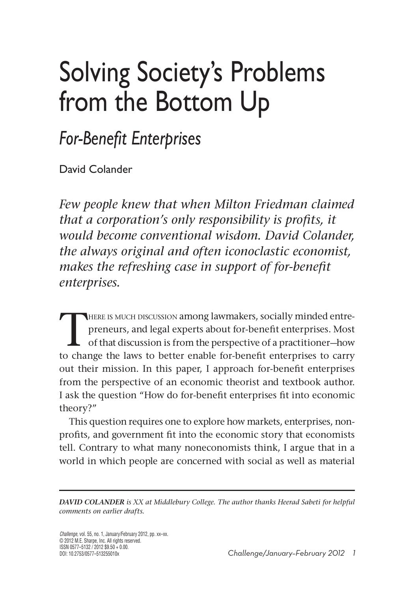# Solving Society's Problems from the Bottom Up

## *For-Benefit Enterprises*

David Colander

*Few people knew that when Milton Friedman claimed that a corporation's only responsibility is profits, it would become conventional wisdom. David Colander, the always original and often iconoclastic economist, makes the refreshing case in support of for-benefit enterprises.*

THERE IS MUCH DISCUSSION among lawmakers, socially minded entre-<br>preneurs, and legal experts about for-benefit enterprises. Most<br>of that discussion is from the perspective of a practitioner—how<br>to change the laws to botter preneurs, and legal experts about for-benefit enterprises. Most of that discussion is from the perspective of a practitioner—how to change the laws to better enable for-benefit enterprises to carry out their mission. In this paper, I approach for-benefit enterprises from the perspective of an economic theorist and textbook author. I ask the question "How do for-benefit enterprises fit into economic theory?"

This question requires one to explore how markets, enterprises, nonprofits, and government fit into the economic story that economists tell. Contrary to what many noneconomists think, I argue that in a world in which people are concerned with social as well as material

*David Colander is XX at Middlebury College. The author thanks Heerad Sabeti for helpful comments on earlier drafts.*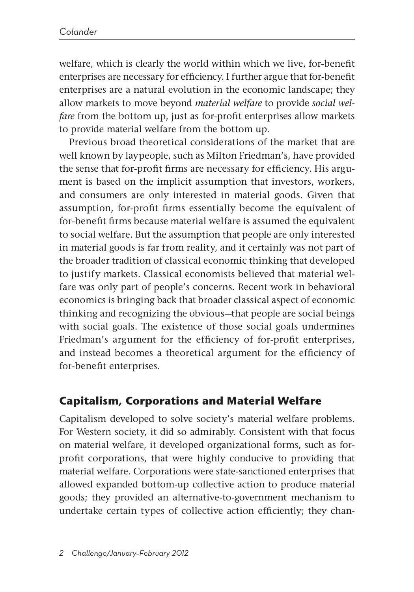welfare, which is clearly the world within which we live, for-benefit enterprises are necessary for efficiency. I further argue that for-benefit enterprises are a natural evolution in the economic landscape; they allow markets to move beyond *material welfare* to provide *social welfare* from the bottom up, just as for-profit enterprises allow markets to provide material welfare from the bottom up.

Previous broad theoretical considerations of the market that are well known by laypeople, such as Milton Friedman's, have provided the sense that for-profit firms are necessary for efficiency. His argument is based on the implicit assumption that investors, workers, and consumers are only interested in material goods. Given that assumption, for-profit firms essentially become the equivalent of for-benefit firms because material welfare is assumed the equivalent to social welfare. But the assumption that people are only interested in material goods is far from reality, and it certainly was not part of the broader tradition of classical economic thinking that developed to justify markets. Classical economists believed that material welfare was only part of people's concerns. Recent work in behavioral economics is bringing back that broader classical aspect of economic thinking and recognizing the obvious—that people are social beings with social goals. The existence of those social goals undermines Friedman's argument for the efficiency of for-profit enterprises, and instead becomes a theoretical argument for the efficiency of for-benefit enterprises.

#### **Capitalism, Corporations and Material Welfare**

Capitalism developed to solve society's material welfare problems. For Western society, it did so admirably. Consistent with that focus on material welfare, it developed organizational forms, such as forprofit corporations, that were highly conducive to providing that material welfare. Corporations were state-sanctioned enterprises that allowed expanded bottom-up collective action to produce material goods; they provided an alternative-to-government mechanism to undertake certain types of collective action efficiently; they chan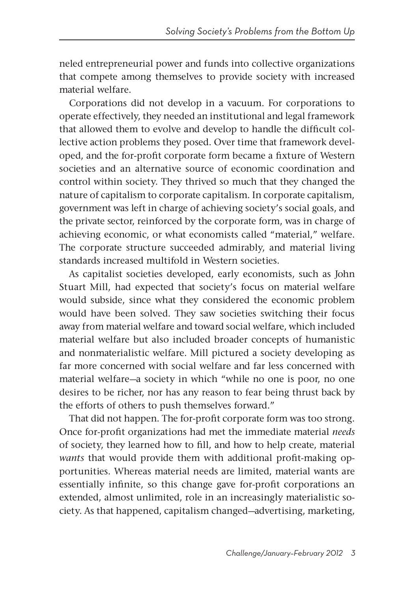neled entrepreneurial power and funds into collective organizations that compete among themselves to provide society with increased material welfare.

Corporations did not develop in a vacuum. For corporations to operate effectively, they needed an institutional and legal framework that allowed them to evolve and develop to handle the difficult collective action problems they posed. Over time that framework developed, and the for-profit corporate form became a fixture of Western societies and an alternative source of economic coordination and control within society. They thrived so much that they changed the nature of capitalism to corporate capitalism. In corporate capitalism, government was left in charge of achieving society's social goals, and the private sector, reinforced by the corporate form, was in charge of achieving economic, or what economists called "material," welfare. The corporate structure succeeded admirably, and material living standards increased multifold in Western societies.

As capitalist societies developed, early economists, such as John Stuart Mill, had expected that society's focus on material welfare would subside, since what they considered the economic problem would have been solved. They saw societies switching their focus away from material welfare and toward social welfare, which included material welfare but also included broader concepts of humanistic and nonmaterialistic welfare. Mill pictured a society developing as far more concerned with social welfare and far less concerned with material welfare—a society in which "while no one is poor, no one desires to be richer, nor has any reason to fear being thrust back by the efforts of others to push themselves forward."

That did not happen. The for-profit corporate form was too strong. Once for-profit organizations had met the immediate material *needs*  of society, they learned how to fill, and how to help create, material *wants* that would provide them with additional profit-making opportunities. Whereas material needs are limited, material wants are essentially infinite, so this change gave for-profit corporations an extended, almost unlimited, role in an increasingly materialistic society. As that happened, capitalism changed—advertising, marketing,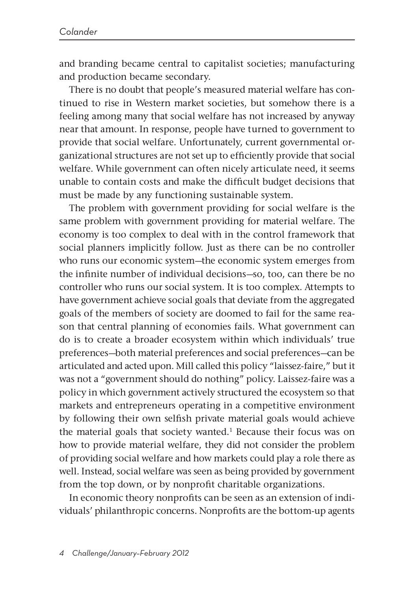and branding became central to capitalist societies; manufacturing and production became secondary.

There is no doubt that people's measured material welfare has continued to rise in Western market societies, but somehow there is a feeling among many that social welfare has not increased by anyway near that amount. In response, people have turned to government to provide that social welfare. Unfortunately, current governmental organizational structures are not set up to efficiently provide that social welfare. While government can often nicely articulate need, it seems unable to contain costs and make the difficult budget decisions that must be made by any functioning sustainable system.

The problem with government providing for social welfare is the same problem with government providing for material welfare. The economy is too complex to deal with in the control framework that social planners implicitly follow. Just as there can be no controller who runs our economic system—the economic system emerges from the infinite number of individual decisions—so, too, can there be no controller who runs our social system. It is too complex. Attempts to have government achieve social goals that deviate from the aggregated goals of the members of society are doomed to fail for the same reason that central planning of economies fails. What government can do is to create a broader ecosystem within which individuals' true preferences—both material preferences and social preferences—can be articulated and acted upon. Mill called this policy "laissez-faire," but it was not a "government should do nothing" policy. Laissez-faire was a policy in which government actively structured the ecosystem so that markets and entrepreneurs operating in a competitive environment by following their own selfish private material goals would achieve the material goals that society wanted. $<sup>1</sup>$  Because their focus was on</sup> how to provide material welfare, they did not consider the problem of providing social welfare and how markets could play a role there as well. Instead, social welfare was seen as being provided by government from the top down, or by nonprofit charitable organizations.

In economic theory nonprofits can be seen as an extension of individuals' philanthropic concerns. Nonprofits are the bottom-up agents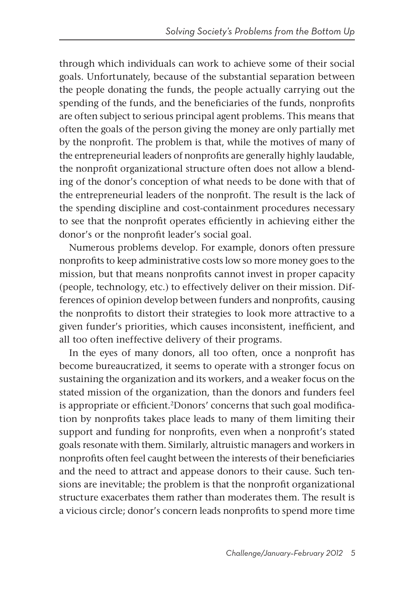through which individuals can work to achieve some of their social goals. Unfortunately, because of the substantial separation between the people donating the funds, the people actually carrying out the spending of the funds, and the beneficiaries of the funds, nonprofits are often subject to serious principal agent problems. This means that often the goals of the person giving the money are only partially met by the nonprofit. The problem is that, while the motives of many of the entrepreneurial leaders of nonprofits are generally highly laudable, the nonprofit organizational structure often does not allow a blending of the donor's conception of what needs to be done with that of the entrepreneurial leaders of the nonprofit. The result is the lack of the spending discipline and cost-containment procedures necessary to see that the nonprofit operates efficiently in achieving either the donor's or the nonprofit leader's social goal.

Numerous problems develop. For example, donors often pressure nonprofits to keep administrative costs low so more money goes to the mission, but that means nonprofits cannot invest in proper capacity (people, technology, etc.) to effectively deliver on their mission. Differences of opinion develop between funders and nonprofits, causing the nonprofits to distort their strategies to look more attractive to a given funder's priorities, which causes inconsistent, inefficient, and all too often ineffective delivery of their programs.

In the eyes of many donors, all too often, once a nonprofit has become bureaucratized, it seems to operate with a stronger focus on sustaining the organization and its workers, and a weaker focus on the stated mission of the organization, than the donors and funders feel is appropriate or efficient.<sup>2</sup>Donors' concerns that such goal modification by nonprofits takes place leads to many of them limiting their support and funding for nonprofits, even when a nonprofit's stated goals resonate with them. Similarly, altruistic managers and workers in nonprofits often feel caught between the interests of their beneficiaries and the need to attract and appease donors to their cause. Such tensions are inevitable; the problem is that the nonprofit organizational structure exacerbates them rather than moderates them. The result is a vicious circle; donor's concern leads nonprofits to spend more time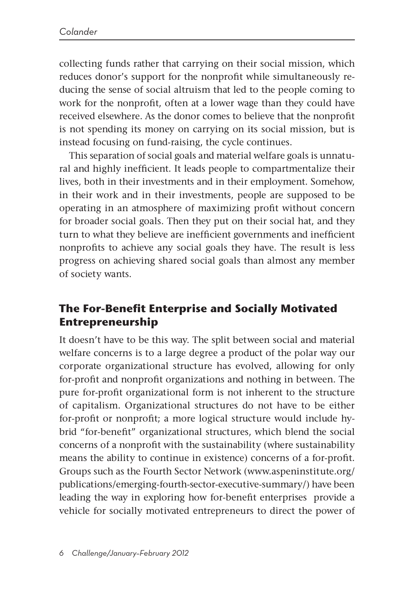collecting funds rather that carrying on their social mission, which reduces donor's support for the nonprofit while simultaneously reducing the sense of social altruism that led to the people coming to work for the nonprofit, often at a lower wage than they could have received elsewhere. As the donor comes to believe that the nonprofit is not spending its money on carrying on its social mission, but is instead focusing on fund-raising, the cycle continues.

This separation of social goals and material welfare goals is unnatural and highly inefficient. It leads people to compartmentalize their lives, both in their investments and in their employment. Somehow, in their work and in their investments, people are supposed to be operating in an atmosphere of maximizing profit without concern for broader social goals. Then they put on their social hat, and they turn to what they believe are inefficient governments and inefficient nonprofits to achieve any social goals they have. The result is less progress on achieving shared social goals than almost any member of society wants.

#### **The For-Benefit Enterprise and Socially Motivated Entrepreneurship**

It doesn't have to be this way. The split between social and material welfare concerns is to a large degree a product of the polar way our corporate organizational structure has evolved, allowing for only for-profit and nonprofit organizations and nothing in between. The pure for-profit organizational form is not inherent to the structure of capitalism. Organizational structures do not have to be either for-profit or nonprofit; a more logical structure would include hybrid "for-benefit" organizational structures, which blend the social concerns of a nonprofit with the sustainability (where sustainability means the ability to continue in existence) concerns of a for-profit. Groups such as the Fourth Sector Network (www.aspeninstitute.org/ publications/emerging-fourth-sector-executive-summary/) have been leading the way in exploring how for-benefit enterprises provide a vehicle for socially motivated entrepreneurs to direct the power of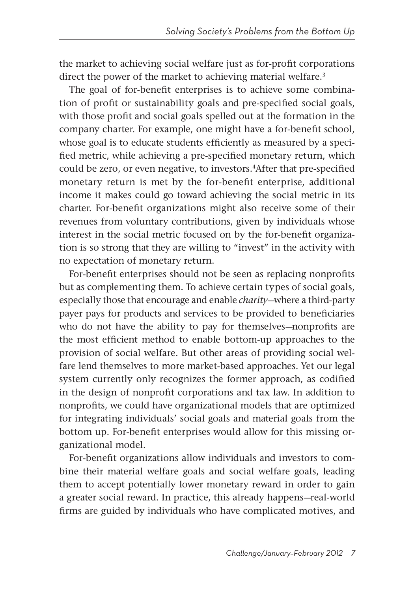the market to achieving social welfare just as for-profit corporations direct the power of the market to achieving material welfare.<sup>3</sup>

The goal of for-benefit enterprises is to achieve some combination of profit or sustainability goals and pre-specified social goals, with those profit and social goals spelled out at the formation in the company charter. For example, one might have a for-benefit school, whose goal is to educate students efficiently as measured by a specified metric, while achieving a pre-specified monetary return, which could be zero, or even negative, to investors.<sup>4</sup>After that pre-specified monetary return is met by the for-benefit enterprise, additional income it makes could go toward achieving the social metric in its charter. For-benefit organizations might also receive some of their revenues from voluntary contributions, given by individuals whose interest in the social metric focused on by the for-benefit organization is so strong that they are willing to "invest" in the activity with no expectation of monetary return.

For-benefit enterprises should not be seen as replacing nonprofits but as complementing them. To achieve certain types of social goals, especially those that encourage and enable *charity*—where a third-party payer pays for products and services to be provided to beneficiaries who do not have the ability to pay for themselves—nonprofits are the most efficient method to enable bottom-up approaches to the provision of social welfare. But other areas of providing social welfare lend themselves to more market-based approaches. Yet our legal system currently only recognizes the former approach, as codified in the design of nonprofit corporations and tax law. In addition to nonprofits, we could have organizational models that are optimized for integrating individuals' social goals and material goals from the bottom up. For-benefit enterprises would allow for this missing organizational model.

For-benefit organizations allow individuals and investors to combine their material welfare goals and social welfare goals, leading them to accept potentially lower monetary reward in order to gain a greater social reward. In practice, this already happens—real-world firms are guided by individuals who have complicated motives, and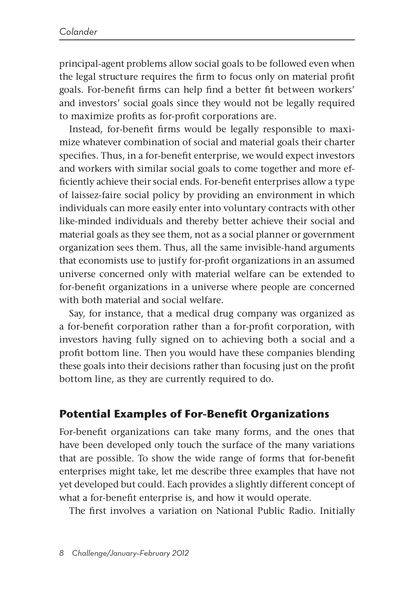principal-agent problems allow social goals to be followed even when the legal structure requires the firm to focus only on material profit goals. For-benefit firms can help find a better fit between workers' and investors' social goals since they would not be legally required to maximize profits as for-profit corporations are.

Instead, for-benefit firms would be legally responsible to maximize whatever combination of social and material goals their charter specifies. Thus, in a for-benefit enterprise, we would expect investors and workers with similar social goals to come together and more efficiently achieve their social ends. For-benefit enterprises allow a type of laissez-faire social policy by providing an environment in which individuals can more easily enter into voluntary contracts with other like-minded individuals and thereby better achieve their social and material goals as they see them, not as a social planner or government organization sees them. Thus, all the same invisible-hand arguments that economists use to justify for-profit organizations in an assumed universe concerned only with material welfare can be extended to for-benefit organizations in a universe where people are concerned with both material and social welfare.

Say, for instance, that a medical drug company was organized as a for-benefit corporation rather than a for-profit corporation, with investors having fully signed on to achieving both a social and a profit bottom line. Then you would have these companies blending these goals into their decisions rather than focusing just on the profit bottom line, as they are currently required to do.

#### **Potential Examples of For-Benefit Organizations**

For-benefit organizations can take many forms, and the ones that have been developed only touch the surface of the many variations that are possible. To show the wide range of forms that for-benefit enterprises might take, let me describe three examples that have not yet developed but could. Each provides a slightly different concept of what a for-benefit enterprise is, and how it would operate.

The first involves a variation on National Public Radio. Initially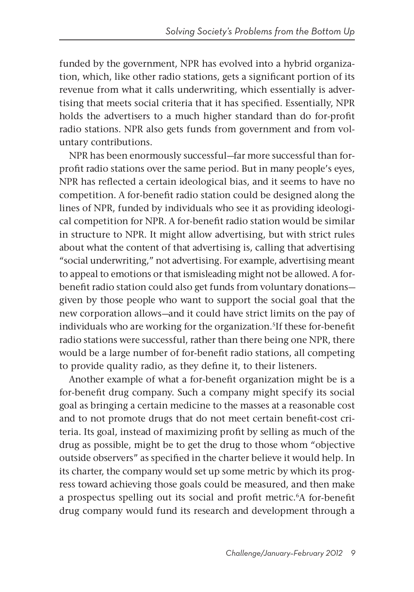funded by the government, NPR has evolved into a hybrid organization, which, like other radio stations, gets a significant portion of its revenue from what it calls underwriting, which essentially is advertising that meets social criteria that it has specified. Essentially, NPR holds the advertisers to a much higher standard than do for-profit radio stations. NPR also gets funds from government and from voluntary contributions.

NPR has been enormously successful—far more successful than forprofit radio stations over the same period. But in many people's eyes, NPR has reflected a certain ideological bias, and it seems to have no competition. A for-benefit radio station could be designed along the lines of NPR, funded by individuals who see it as providing ideological competition for NPR. A for-benefit radio station would be similar in structure to NPR. It might allow advertising, but with strict rules about what the content of that advertising is, calling that advertising "social underwriting," not advertising. For example, advertising meant to appeal to emotions or that ismisleading might not be allowed. A forbenefit radio station could also get funds from voluntary donations given by those people who want to support the social goal that the new corporation allows—and it could have strict limits on the pay of individuals who are working for the organization.<sup>5</sup>If these for-benefit radio stations were successful, rather than there being one NPR, there would be a large number of for-benefit radio stations, all competing to provide quality radio, as they define it, to their listeners.

Another example of what a for-benefit organization might be is a for-benefit drug company. Such a company might specify its social goal as bringing a certain medicine to the masses at a reasonable cost and to not promote drugs that do not meet certain benefit-cost criteria. Its goal, instead of maximizing profit by selling as much of the drug as possible, might be to get the drug to those whom "objective outside observers" as specified in the charter believe it would help. In its charter, the company would set up some metric by which its progress toward achieving those goals could be measured, and then make a prospectus spelling out its social and profit metric.<sup>6</sup>A for-benefit drug company would fund its research and development through a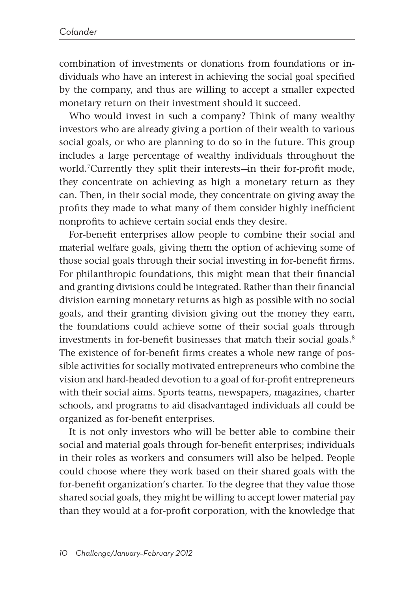combination of investments or donations from foundations or individuals who have an interest in achieving the social goal specified by the company, and thus are willing to accept a smaller expected monetary return on their investment should it succeed.

Who would invest in such a company? Think of many wealthy investors who are already giving a portion of their wealth to various social goals, or who are planning to do so in the future. This group includes a large percentage of wealthy individuals throughout the world.<sup>7</sup>Currently they split their interests—in their for-profit mode, they concentrate on achieving as high a monetary return as they can. Then, in their social mode, they concentrate on giving away the profits they made to what many of them consider highly inefficient nonprofits to achieve certain social ends they desire.

For-benefit enterprises allow people to combine their social and material welfare goals, giving them the option of achieving some of those social goals through their social investing in for-benefit firms. For philanthropic foundations, this might mean that their financial and granting divisions could be integrated. Rather than their financial division earning monetary returns as high as possible with no social goals, and their granting division giving out the money they earn, the foundations could achieve some of their social goals through investments in for-benefit businesses that match their social goals.<sup>8</sup> The existence of for-benefit firms creates a whole new range of possible activities for socially motivated entrepreneurs who combine the vision and hard-headed devotion to a goal of for-profit entrepreneurs with their social aims. Sports teams, newspapers, magazines, charter schools, and programs to aid disadvantaged individuals all could be organized as for-benefit enterprises.

It is not only investors who will be better able to combine their social and material goals through for-benefit enterprises; individuals in their roles as workers and consumers will also be helped. People could choose where they work based on their shared goals with the for-benefit organization's charter. To the degree that they value those shared social goals, they might be willing to accept lower material pay than they would at a for-profit corporation, with the knowledge that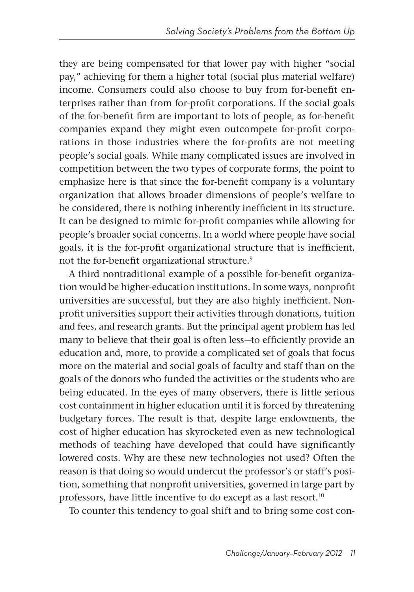they are being compensated for that lower pay with higher "social pay," achieving for them a higher total (social plus material welfare) income. Consumers could also choose to buy from for-benefit enterprises rather than from for-profit corporations. If the social goals of the for-benefit firm are important to lots of people, as for-benefit companies expand they might even outcompete for-profit corporations in those industries where the for-profits are not meeting people's social goals. While many complicated issues are involved in competition between the two types of corporate forms, the point to emphasize here is that since the for-benefit company is a voluntary organization that allows broader dimensions of people's welfare to be considered, there is nothing inherently inefficient in its structure. It can be designed to mimic for-profit companies while allowing for people's broader social concerns. In a world where people have social goals, it is the for-profit organizational structure that is inefficient, not the for-benefit organizational structure.<sup>9</sup>

A third nontraditional example of a possible for-benefit organization would be higher-education institutions. In some ways, nonprofit universities are successful, but they are also highly inefficient. Nonprofit universities support their activities through donations, tuition and fees, and research grants. But the principal agent problem has led many to believe that their goal is often less—to efficiently provide an education and, more, to provide a complicated set of goals that focus more on the material and social goals of faculty and staff than on the goals of the donors who funded the activities or the students who are being educated. In the eyes of many observers, there is little serious cost containment in higher education until it is forced by threatening budgetary forces. The result is that, despite large endowments, the cost of higher education has skyrocketed even as new technological methods of teaching have developed that could have significantly lowered costs. Why are these new technologies not used? Often the reason is that doing so would undercut the professor's or staff's position, something that nonprofit universities, governed in large part by professors, have little incentive to do except as a last resort.<sup>10</sup>

To counter this tendency to goal shift and to bring some cost con-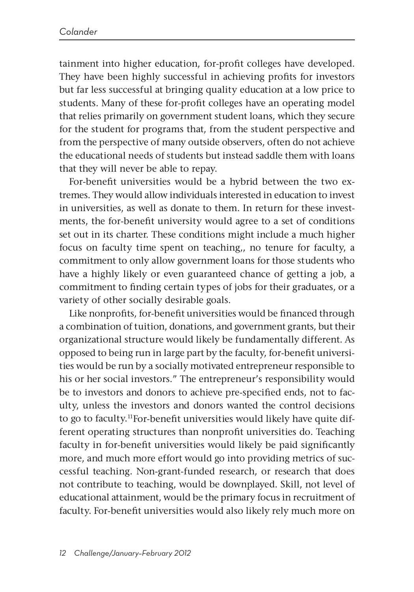tainment into higher education, for-profit colleges have developed. They have been highly successful in achieving profits for investors but far less successful at bringing quality education at a low price to students. Many of these for-profit colleges have an operating model that relies primarily on government student loans, which they secure for the student for programs that, from the student perspective and from the perspective of many outside observers, often do not achieve the educational needs of students but instead saddle them with loans that they will never be able to repay.

For-benefit universities would be a hybrid between the two extremes. They would allow individuals interested in education to invest in universities, as well as donate to them. In return for these investments, the for-benefit university would agree to a set of conditions set out in its charter. These conditions might include a much higher focus on faculty time spent on teaching,, no tenure for faculty, a commitment to only allow government loans for those students who have a highly likely or even guaranteed chance of getting a job, a commitment to finding certain types of jobs for their graduates, or a variety of other socially desirable goals.

Like nonprofits, for-benefit universities would be financed through a combination of tuition, donations, and government grants, but their organizational structure would likely be fundamentally different. As opposed to being run in large part by the faculty, for-benefit universities would be run by a socially motivated entrepreneur responsible to his or her social investors." The entrepreneur's responsibility would be to investors and donors to achieve pre-specified ends, not to faculty, unless the investors and donors wanted the control decisions to go to faculty.11For-benefit universities would likely have quite different operating structures than nonprofit universities do. Teaching faculty in for-benefit universities would likely be paid significantly more, and much more effort would go into providing metrics of successful teaching. Non-grant-funded research, or research that does not contribute to teaching, would be downplayed. Skill, not level of educational attainment, would be the primary focus in recruitment of faculty. For-benefit universities would also likely rely much more on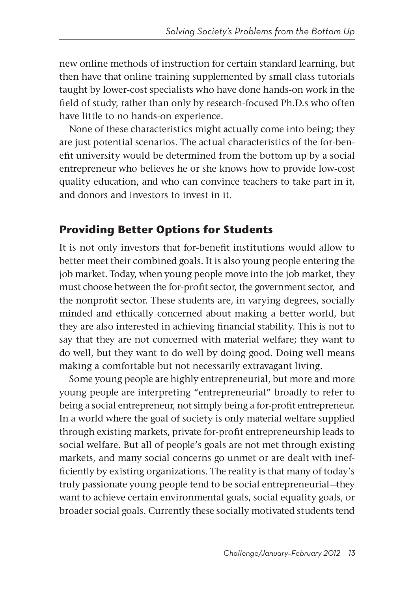new online methods of instruction for certain standard learning, but then have that online training supplemented by small class tutorials taught by lower-cost specialists who have done hands-on work in the field of study, rather than only by research-focused Ph.D.s who often have little to no hands-on experience.

None of these characteristics might actually come into being; they are just potential scenarios. The actual characteristics of the for-benefit university would be determined from the bottom up by a social entrepreneur who believes he or she knows how to provide low-cost quality education, and who can convince teachers to take part in it, and donors and investors to invest in it.

### **Providing Better Options for Students**

It is not only investors that for-benefit institutions would allow to better meet their combined goals. It is also young people entering the job market. Today, when young people move into the job market, they must choose between the for-profit sector, the government sector, and the nonprofit sector. These students are, in varying degrees, socially minded and ethically concerned about making a better world, but they are also interested in achieving financial stability. This is not to say that they are not concerned with material welfare; they want to do well, but they want to do well by doing good. Doing well means making a comfortable but not necessarily extravagant living.

Some young people are highly entrepreneurial, but more and more young people are interpreting "entrepreneurial" broadly to refer to being a social entrepreneur, not simply being a for-profit entrepreneur. In a world where the goal of society is only material welfare supplied through existing markets, private for-profit entrepreneurship leads to social welfare. But all of people's goals are not met through existing markets, and many social concerns go unmet or are dealt with inefficiently by existing organizations. The reality is that many of today's truly passionate young people tend to be social entrepreneurial—they want to achieve certain environmental goals, social equality goals, or broader social goals. Currently these socially motivated students tend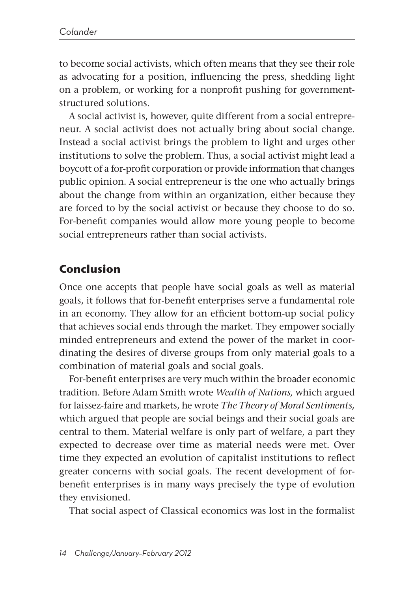to become social activists, which often means that they see their role as advocating for a position, influencing the press, shedding light on a problem, or working for a nonprofit pushing for governmentstructured solutions.

A social activist is, however, quite different from a social entrepreneur. A social activist does not actually bring about social change. Instead a social activist brings the problem to light and urges other institutions to solve the problem. Thus, a social activist might lead a boycott of a for-profit corporation or provide information that changes public opinion. A social entrepreneur is the one who actually brings about the change from within an organization, either because they are forced to by the social activist or because they choose to do so. For-benefit companies would allow more young people to become social entrepreneurs rather than social activists.

#### **Conclusion**

Once one accepts that people have social goals as well as material goals, it follows that for-benefit enterprises serve a fundamental role in an economy. They allow for an efficient bottom-up social policy that achieves social ends through the market. They empower socially minded entrepreneurs and extend the power of the market in coordinating the desires of diverse groups from only material goals to a combination of material goals and social goals.

For-benefit enterprises are very much within the broader economic tradition. Before Adam Smith wrote *Wealth of Nations,* which argued for laissez-faire and markets, he wrote *The Theory of Moral Sentiments,* which argued that people are social beings and their social goals are central to them. Material welfare is only part of welfare, a part they expected to decrease over time as material needs were met. Over time they expected an evolution of capitalist institutions to reflect greater concerns with social goals. The recent development of forbenefit enterprises is in many ways precisely the type of evolution they envisioned.

That social aspect of Classical economics was lost in the formalist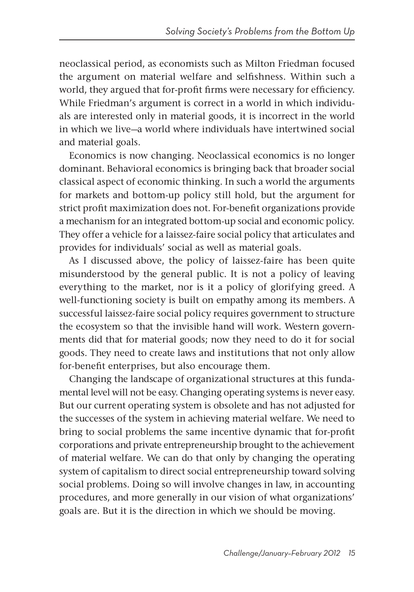neoclassical period, as economists such as Milton Friedman focused the argument on material welfare and selfishness. Within such a world, they argued that for-profit firms were necessary for efficiency. While Friedman's argument is correct in a world in which individuals are interested only in material goods, it is incorrect in the world in which we live—a world where individuals have intertwined social and material goals.

Economics is now changing. Neoclassical economics is no longer dominant. Behavioral economics is bringing back that broader social classical aspect of economic thinking. In such a world the arguments for markets and bottom-up policy still hold, but the argument for strict profit maximization does not. For-benefit organizations provide a mechanism for an integrated bottom-up social and economic policy. They offer a vehicle for a laissez-faire social policy that articulates and provides for individuals' social as well as material goals.

As I discussed above, the policy of laissez-faire has been quite misunderstood by the general public. It is not a policy of leaving everything to the market, nor is it a policy of glorifying greed. A well-functioning society is built on empathy among its members. A successful laissez-faire social policy requires government to structure the ecosystem so that the invisible hand will work. Western governments did that for material goods; now they need to do it for social goods. They need to create laws and institutions that not only allow for-benefit enterprises, but also encourage them.

Changing the landscape of organizational structures at this fundamental level will not be easy. Changing operating systems is never easy. But our current operating system is obsolete and has not adjusted for the successes of the system in achieving material welfare. We need to bring to social problems the same incentive dynamic that for-profit corporations and private entrepreneurship brought to the achievement of material welfare. We can do that only by changing the operating system of capitalism to direct social entrepreneurship toward solving social problems. Doing so will involve changes in law, in accounting procedures, and more generally in our vision of what organizations' goals are. But it is the direction in which we should be moving.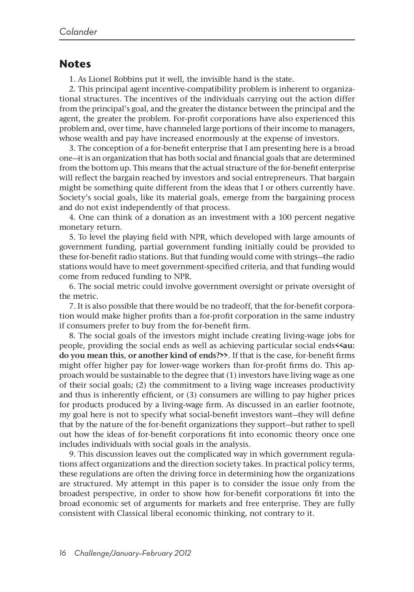#### **Notes**

1. As Lionel Robbins put it well, the invisible hand is the state.

2. This principal agent incentive-compatibility problem is inherent to organizational structures. The incentives of the individuals carrying out the action differ from the principal's goal, and the greater the distance between the principal and the agent, the greater the problem. For-profit corporations have also experienced this problem and, over time, have channeled large portions of their income to managers, whose wealth and pay have increased enormously at the expense of investors.

3. The conception of a for-benefit enterprise that I am presenting here is a broad one—it is an organization that has both social and financial goals that are determined from the bottom up. This means that the actual structure of the for-benefit enterprise will reflect the bargain reached by investors and social entrepreneurs. That bargain might be something quite different from the ideas that I or others currently have. Society's social goals, like its material goals, emerge from the bargaining process and do not exist independently of that process.

4. One can think of a donation as an investment with a 100 percent negative monetary return.

5. To level the playing field with NPR, which developed with large amounts of government funding, partial government funding initially could be provided to these for-benefit radio stations. But that funding would come with strings—the radio stations would have to meet government-specified criteria, and that funding would come from reduced funding to NPR.

6. The social metric could involve government oversight or private oversight of the metric.

7. It is also possible that there would be no tradeoff, that the for-benefit corporation would make higher profits than a for-profit corporation in the same industry if consumers prefer to buy from the for-benefit firm.

8. The social goals of the investors might include creating living-wage jobs for people, providing the social ends as well as achieving particular social ends**<<au: do you mean this, or another kind of ends?>>**. If that is the case, for-benefit firms might offer higher pay for lower-wage workers than for-profit firms do. This approach would be sustainable to the degree that (1) investors have living wage as one of their social goals; (2) the commitment to a living wage increases productivity and thus is inherently efficient, or (3) consumers are willing to pay higher prices for products produced by a living-wage firm. As discussed in an earlier footnote, my goal here is not to specify what social-benefit investors want—they will define that by the nature of the for-benefit organizations they support—but rather to spell out how the ideas of for-benefit corporations fit into economic theory once one includes individuals with social goals in the analysis.

9. This discussion leaves out the complicated way in which government regulations affect organizations and the direction society takes. In practical policy terms, these regulations are often the driving force in determining how the organizations are structured. My attempt in this paper is to consider the issue only from the broadest perspective, in order to show how for-benefit corporations fit into the broad economic set of arguments for markets and free enterprise. They are fully consistent with Classical liberal economic thinking, not contrary to it.